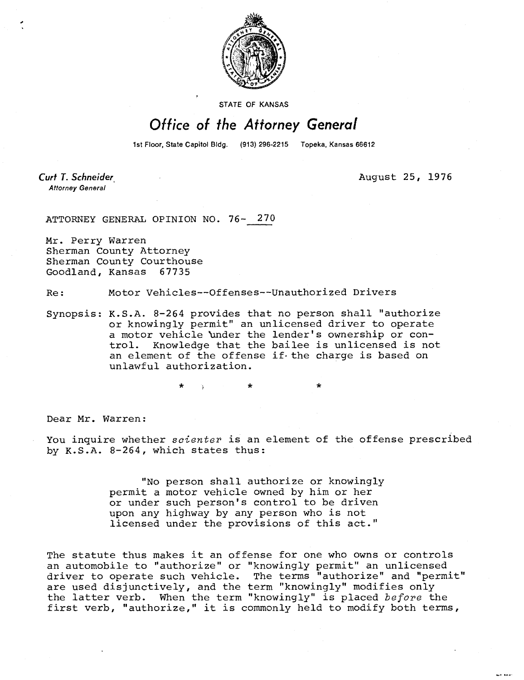

STATE OF KANSAS

## Office of the Attorney General

1st Floor, State Capitol Bldg. (913) 296-2215 Topeka, Kansas 66612

Curt T. Schneider **Attorney General** 

August 25, 1976

and away

ATTORNEY GENERAL OPINION NO. 76- 270

Mr. Perry Warren Sherman County Attorney Sherman County Courthouse Goodland, Kansas 67735

Re: Motor Vehicles--Offenses--Unauthorized Drivers

Synopsis: K.S.A. 8-264 provides that no person shall "authorize or knowingly permit" an unlicensed driver to operate a motor vehicle 'under the lender's ownership or control. Knowledge that the bailee is unlicensed is not an element of the offense if the charge is based on unlawful authorization.

 $\star$   $\rightarrow$   $\star$ 

Dear Mr. Warren:

You inquire whether scienter is an element of the offense prescribed by K.S.A. 8-264, which states thus:

> "No person shall authorize or knowingly permit a motor vehicle owned by him or her or under such person's control to be driven upon any highway by any person who is not licensed under the provisions of this act."

The statute thus makes it an offense for one who owns or controls an automobile to "authorize" or "knowingly permit" an unlicensed driver to operate such vehicle. The terms "authorize" and "permit" are used disjunctively, and the term "knowingly" modifies only the latter verb. When the term "knowingly" is placed before the first verb, "authorize," it is commonly held to modify both terms,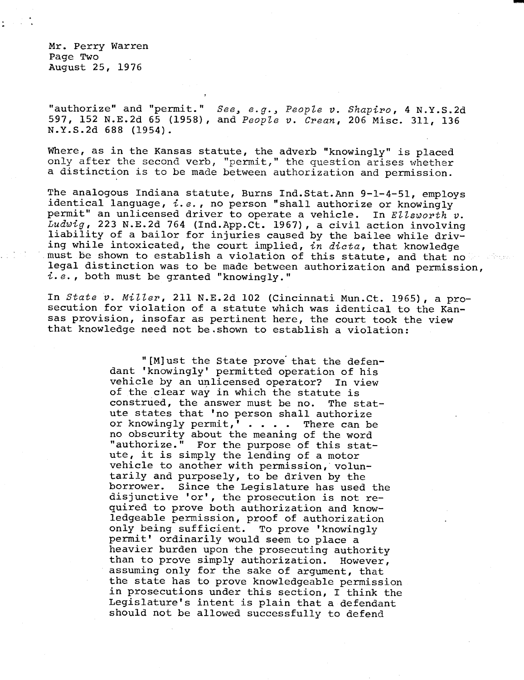Mr. Perry Warren Page Two August 25, 1976

"authorize" and "permit." See, e.g., People v. Shapiro, 4 N.Y.S.2d 597, 152 N.E.2d 65 (1958), and People v. Crean, 206 Misc. 311, 136 N.Y.S.2d 688 (1954).

Where, as in the Kansas statute, the adverb "knowingly" is placed only after the second verb, "permit," the question arises whether a distinction is to be made between authorization and permission.

The analogous Indiana statute, Burns Ind.Stat.Ann 9-1-4-51, employs identical language,  $i.e.$ , no person "shall authorize or knowingly permit" an unlicensed driver to operate a vehicle. In Ellsworth v. Ludwig, 223 N.E.2d 764 (Ind.App.Ct. 1967), a civil action involving liability of a bailor for injuries caused by the bailee while driving while intoxicated, the court implied, in dicta, that knowledge must be shown to establish a violation of this statute, and that no n a Sheed legal distinction was to be made between authorization and permission, i.e., both must be granted "knowingly."

In State v. Miller, 211 N.E.2d 102 (Cincinnati Mun.Ct. 1965), a prosecution for violation of a statute which was identical to the Kansas provision, insofar as pertinent here, the court took the view that knowledge need not be shown to establish a violation:

> "[M]ust the State prove that the defendant 'knowingly' permitted operation of his vehicle by an unlicensed operator? In view of the clear way in which the statute is construed, the answer must be no. The statute states that 'no person shall authorize or knowingly permit,' . . . . There can be no obscurity about the meaning of the word "authorize." For the purpose of this statute, it is simply the lending of a motor vehicle to another with permission, voluntarily and purposely, to be driven by the borrower. Since the Legislature has used the disjunctive 'or', the prosecution is not required to prove both authorization and knowledgeable permission, proof of authorization only being sufficient. To prove 'knowingly permit' ordinarily would seem to place a heavier burden upon the prosecuting authority than to prove simply authorization. However, assuming only for the sake of argument, that the state has to prove knowledgeable permission in prosecutions under this section, I think the Legislature's intent is plain that a defendant should not be allowed successfully to defend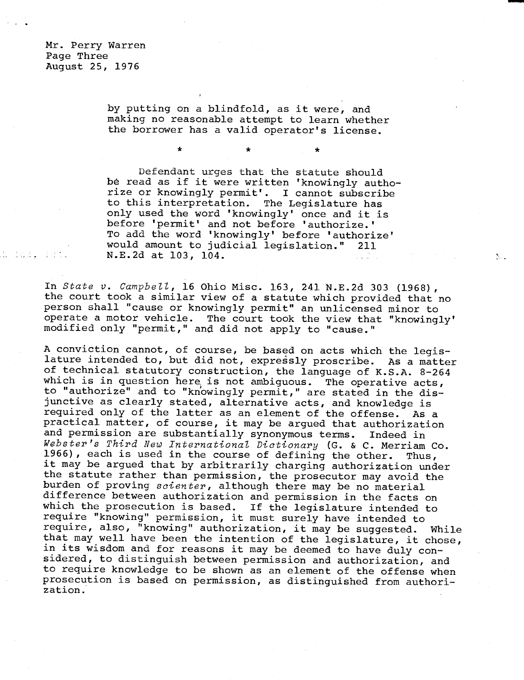Mr. Perry Warren Page Three August 25, 1976

.a los, adt.

by putting on a blindfold, as it were, and making no reasonable attempt to learn whether the borrower has a valid operator's license.

 $\bullet$ 

Defendant urges that the statute should be read as if it were written 'knowingly authorize or knowingly permit'. I cannot subscribe to this interpretation. The Legislature has only used the word 'knowingly' once and it is before 'permit' and not before 'authorize.' To add the word 'knowingly' before 'authorize' would amount to judicial legislation." 211 N.E.2d at 103, 104.

 $\mathcal{N}_{\mathrm{eff}}$  .

In State v. Campbell, 16 Ohio Misc. 163, 241 N.E.2d 303 (1968), the court took a similar view of a statute which provided that no person shall "cause or knowingly permit" an unlicensed minor to operate a motor vehicle. The court took the view that "knowingly' modified only "permit," and did not apply to "cause."

A conviction cannot, of course, be based on acts which the legislature intended to, but did not, expressly proscribe. As a matter of technical statutory construction, the language of K.S.A. 8-264 which is in question here is not ambiguous. The operative acts, to "authorize" and to "knowingly permit," are stated in the disjunctive as clearly stated, alternative acts, and knowledge is required only of the latter as an element of the offense. As a practical matter, of course, it may be argued that authorization and permission are substantially synonymous terms. Indeed in Webster's Third New International Dictionary (G. & C. Merriam Co. 1966), each is used in the course of defining the other. Thus, it may be argued that by arbitrarily charging authorization under the statute rather than permission, the prosecutor may avoid the burden of proving scienter, although there may be no material difference between authorization and permission in the facts on which the prosecution is based. If the legislature intended to require "knowing" permission, it must surely have intended to require, also, "knowing" authorization, it may be suggested. While that may well have been the intention of the legislature, it chose, in its wisdom and for reasons it may be deemed to have duly considered, to distinguish between permission and authorization, and to require knowledge to be shown as an element of the offense when prosecution is based on permission, as distinguished from authorization.